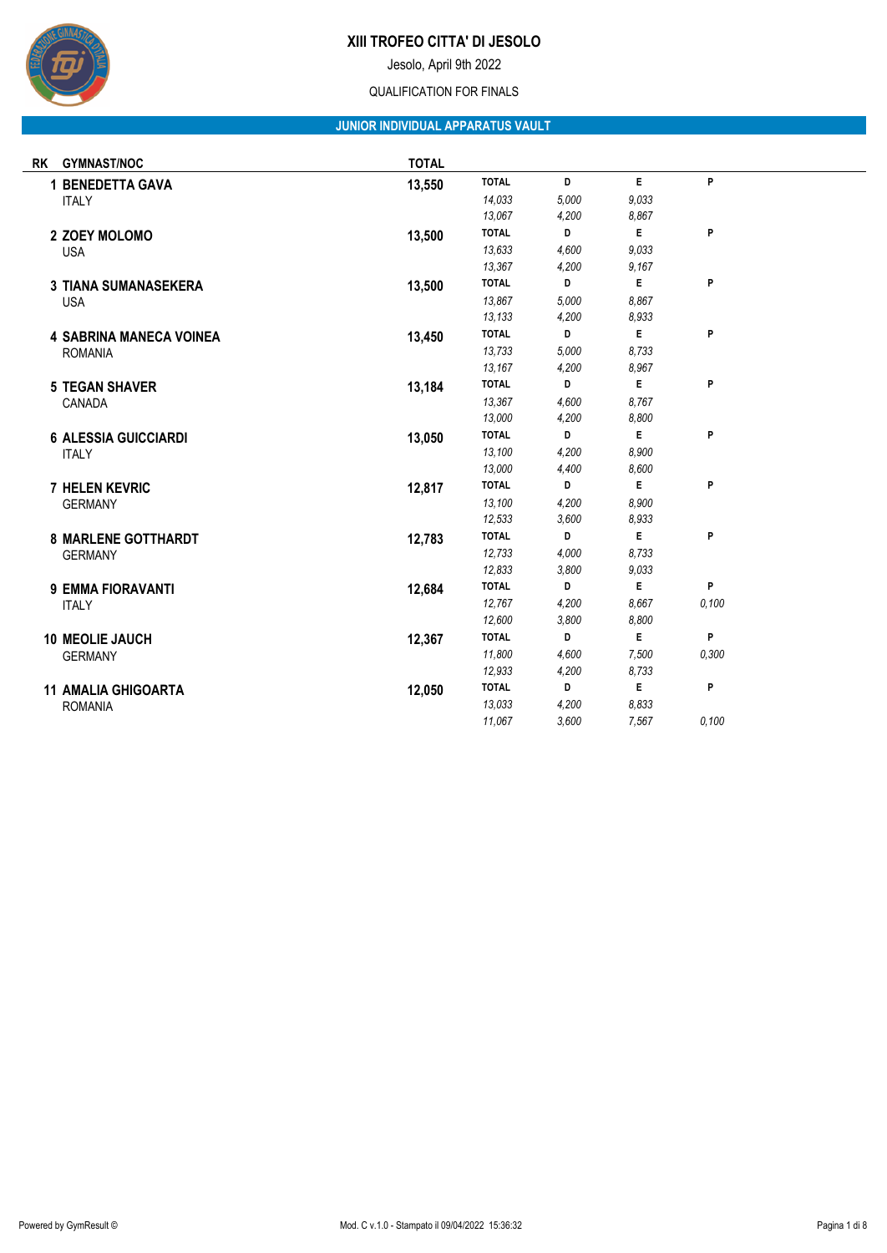

Jesolo, April 9th 2022

#### QUALIFICATION FOR FINALS

## **JUNIOR INDIVIDUAL APPARATUS VAULT**

| <b>RK</b>    | <b>GYMNAST/NOC</b>             | <b>TOTAL</b> |              |       |       |       |
|--------------|--------------------------------|--------------|--------------|-------|-------|-------|
|              | <b>1 BENEDETTA GAVA</b>        | 13,550       | <b>TOTAL</b> | D     | E.    | P     |
| <b>ITALY</b> |                                |              | 14,033       | 5,000 | 9,033 |       |
|              |                                |              | 13,067       | 4,200 | 8,867 |       |
|              | 2 ZOEY MOLOMO                  | 13,500       | <b>TOTAL</b> | D     | E     | P     |
| <b>USA</b>   |                                |              | 13,633       | 4,600 | 9,033 |       |
|              |                                |              | 13,367       | 4,200 | 9,167 |       |
|              | <b>3 TIANA SUMANASEKERA</b>    | 13,500       | <b>TOTAL</b> | D     | E     | P     |
|              | <b>USA</b>                     |              | 13,867       | 5,000 | 8.867 |       |
|              |                                |              | 13,133       | 4,200 | 8,933 |       |
|              | <b>4 SABRINA MANECA VOINEA</b> | 13,450       | <b>TOTAL</b> | D     | E     | P     |
|              | <b>ROMANIA</b>                 |              | 13,733       | 5,000 | 8,733 |       |
|              |                                |              | 13,167       | 4,200 | 8,967 |       |
|              | <b>5 TEGAN SHAVER</b>          | 13,184       | <b>TOTAL</b> | D     | E     | P     |
|              | CANADA                         |              | 13,367       | 4,600 | 8.767 |       |
|              |                                |              | 13,000       | 4,200 | 8,800 |       |
|              | <b>6 ALESSIA GUICCIARDI</b>    | 13,050       | <b>TOTAL</b> | D     | E     | P     |
|              | <b>ITALY</b>                   |              | 13,100       | 4,200 | 8.900 |       |
|              |                                |              | 13,000       | 4,400 | 8,600 |       |
|              | <b>7 HELEN KEVRIC</b>          | 12,817       | <b>TOTAL</b> | D     | E     | P     |
|              | <b>GERMANY</b>                 |              | 13,100       | 4,200 | 8.900 |       |
|              |                                |              | 12,533       | 3,600 | 8,933 |       |
|              | <b>8 MARLENE GOTTHARDT</b>     | 12,783       | <b>TOTAL</b> | D     | E     | P     |
|              | <b>GERMANY</b>                 |              | 12,733       | 4,000 | 8.733 |       |
|              |                                |              | 12,833       | 3,800 | 9,033 |       |
|              | 9 EMMA FIORAVANTI              | 12,684       | <b>TOTAL</b> | D     | E     | P     |
| <b>ITALY</b> |                                |              | 12,767       | 4,200 | 8.667 | 0,100 |
|              |                                |              | 12,600       | 3,800 | 8,800 |       |
|              | 10 MEOLIE JAUCH                | 12,367       | <b>TOTAL</b> | D     | E     | P     |
|              | <b>GERMANY</b>                 |              | 11,800       | 4,600 | 7,500 | 0.300 |
|              |                                |              | 12,933       | 4,200 | 8,733 |       |
|              | <b>11 AMALIA GHIGOARTA</b>     | 12,050       | <b>TOTAL</b> | D     | E     | P     |
|              | <b>ROMANIA</b>                 |              | 13.033       | 4,200 | 8.833 |       |
|              |                                |              | 11,067       | 3,600 | 7,567 | 0,100 |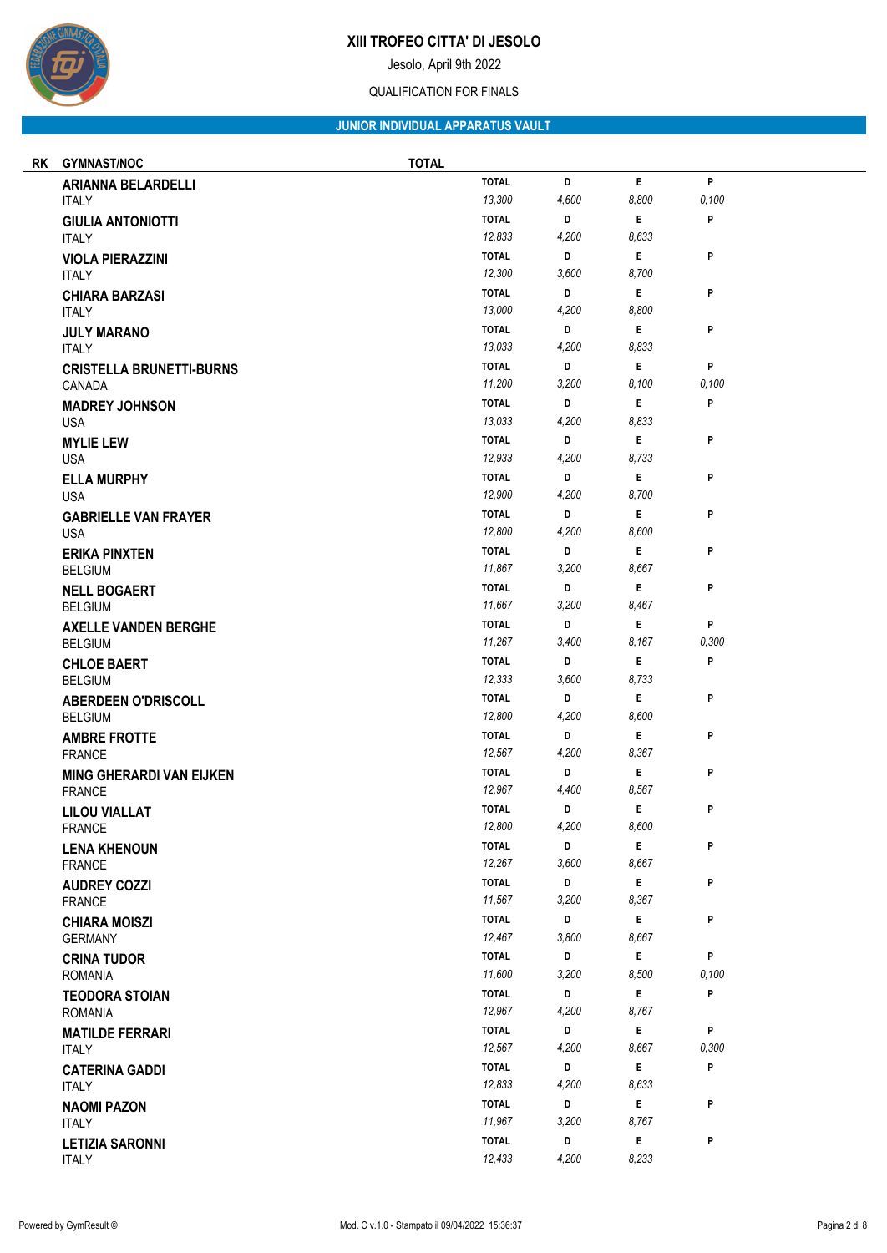

Jesolo, April 9th 2022

### QUALIFICATION FOR FINALS

## **JUNIOR INDIVIDUAL APPARATUS VAULT**

| RK | <b>GYMNAST/NOC</b>                     | <b>TOTAL</b> |                        |            |              |            |  |
|----|----------------------------------------|--------------|------------------------|------------|--------------|------------|--|
|    | <b>ARIANNA BELARDELLI</b>              | <b>TOTAL</b> |                        | D          | $\mathsf E$  | P          |  |
|    | <b>ITALY</b>                           |              | 13,300                 | 4,600      | 8,800        | 0,100      |  |
|    | <b>GIULIA ANTONIOTTI</b>               |              | <b>TOTAL</b>           | D          | E.           | P          |  |
|    | <b>ITALY</b>                           |              | 12,833                 | 4,200      | 8,633        |            |  |
|    | <b>VIOLA PIERAZZINI</b>                |              | <b>TOTAL</b>           | D          | E.           | P          |  |
|    | <b>ITALY</b>                           |              | 12,300                 | 3,600      | 8,700        |            |  |
|    | <b>CHIARA BARZASI</b>                  |              | <b>TOTAL</b>           | D          | E.           | P          |  |
|    | <b>ITALY</b>                           |              | 13,000                 | 4,200      | 8,800        |            |  |
|    | <b>JULY MARANO</b>                     |              | <b>TOTAL</b>           | D          | Е            | P          |  |
|    | <b>ITALY</b>                           |              | 13,033                 | 4,200      | 8,833        |            |  |
|    | <b>CRISTELLA BRUNETTI-BURNS</b>        |              | <b>TOTAL</b><br>11,200 | D<br>3,200 | Е<br>8,100   | P<br>0,100 |  |
|    | CANADA                                 | <b>TOTAL</b> |                        | D          | E            | P          |  |
|    | <b>MADREY JOHNSON</b><br><b>USA</b>    |              | 13,033                 | 4,200      | 8,833        |            |  |
|    | <b>MYLIE LEW</b>                       | <b>TOTAL</b> |                        | D          | E.           | P          |  |
|    | <b>USA</b>                             |              | 12,933                 | 4,200      | 8,733        |            |  |
|    | <b>ELLA MURPHY</b>                     | <b>TOTAL</b> |                        | D          | E            | P          |  |
|    | <b>USA</b>                             |              | 12,900                 | 4,200      | 8,700        |            |  |
|    | <b>GABRIELLE VAN FRAYER</b>            |              | <b>TOTAL</b>           | D          | E.           | P          |  |
|    | <b>USA</b>                             |              | 12,800                 | 4,200      | 8,600        |            |  |
|    | <b>ERIKA PINXTEN</b>                   | <b>TOTAL</b> |                        | D          | E            | P          |  |
|    | <b>BELGIUM</b>                         |              | 11,867                 | 3,200      | 8,667        |            |  |
|    | <b>NELL BOGAERT</b>                    |              | <b>TOTAL</b>           | D          | E.           | P          |  |
|    | <b>BELGIUM</b>                         |              | 11,667                 | 3,200      | 8,467        |            |  |
|    | <b>AXELLE VANDEN BERGHE</b>            | <b>TOTAL</b> |                        | D          | E            | P          |  |
|    | <b>BELGIUM</b>                         |              | 11,267                 | 3,400      | 8,167        | 0,300      |  |
|    | <b>CHLOE BAERT</b>                     |              | <b>TOTAL</b>           | D          | E            | P          |  |
|    | <b>BELGIUM</b>                         |              | 12,333                 | 3,600      | 8,733        |            |  |
|    | <b>ABERDEEN O'DRISCOLL</b>             |              | <b>TOTAL</b><br>12,800 | D<br>4,200 | E.<br>8,600  | P          |  |
|    | <b>BELGIUM</b>                         |              | <b>TOTAL</b>           | D          | E            | P          |  |
|    | <b>AMBRE FROTTE</b><br><b>FRANCE</b>   |              | 12,567                 | 4,200      | 8,367        |            |  |
|    | <b>MING GHERARDI VAN EIJKEN</b>        |              | <b>TOTAL</b>           | D          | E            | P          |  |
|    | <b>FRANCE</b>                          |              | 12,967                 | 4,400      | 8,567        |            |  |
|    | <b>LILOU VIALLAT</b>                   | <b>TOTAL</b> |                        | D          | E            | P          |  |
|    | <b>FRANCE</b>                          |              | 12,800                 | 4,200      | 8,600        |            |  |
|    | <b>LENA KHENOUN</b>                    | <b>TOTAL</b> |                        | D          | E            | P          |  |
|    | <b>FRANCE</b>                          |              | 12,267                 | 3,600      | 8,667        |            |  |
|    | <b>AUDREY COZZI</b>                    |              | <b>TOTAL</b>           | D          | E.           | P          |  |
|    | <b>FRANCE</b>                          |              | 11,567                 | 3,200      | 8,367        |            |  |
|    | <b>CHIARA MOISZI</b>                   | <b>TOTAL</b> |                        | D          | $\mathsf E$  | P          |  |
|    | <b>GERMANY</b>                         |              | 12,467                 | 3,800      | 8,667        |            |  |
|    | <b>CRINA TUDOR</b>                     |              | <b>TOTAL</b>           | D          | E.           | P          |  |
|    | <b>ROMANIA</b>                         |              | 11,600                 | 3,200      | 8,500        | 0,100      |  |
|    | <b>TEODORA STOIAN</b>                  | <b>TOTAL</b> |                        | D          | $\mathsf{E}$ | P          |  |
|    | <b>ROMANIA</b>                         |              | 12,967                 | 4,200      | 8,767        |            |  |
|    | <b>MATILDE FERRARI</b><br><b>ITALY</b> | <b>TOTAL</b> | 12,567                 | D<br>4,200 | E.<br>8,667  | P<br>0,300 |  |
|    |                                        | <b>TOTAL</b> |                        | D          | E.           | P          |  |
|    | <b>CATERINA GADDI</b><br><b>ITALY</b>  |              | 12,833                 | 4,200      | 8,633        |            |  |
|    | <b>NAOMI PAZON</b>                     |              | <b>TOTAL</b>           | D          | E.           | P          |  |
|    | <b>ITALY</b>                           |              | 11,967                 | 3,200      | 8,767        |            |  |
|    | <b>LETIZIA SARONNI</b>                 | <b>TOTAL</b> |                        | D          | $\mathsf E$  | P          |  |
|    | <b>ITALY</b>                           |              | 12,433                 | 4,200      | 8,233        |            |  |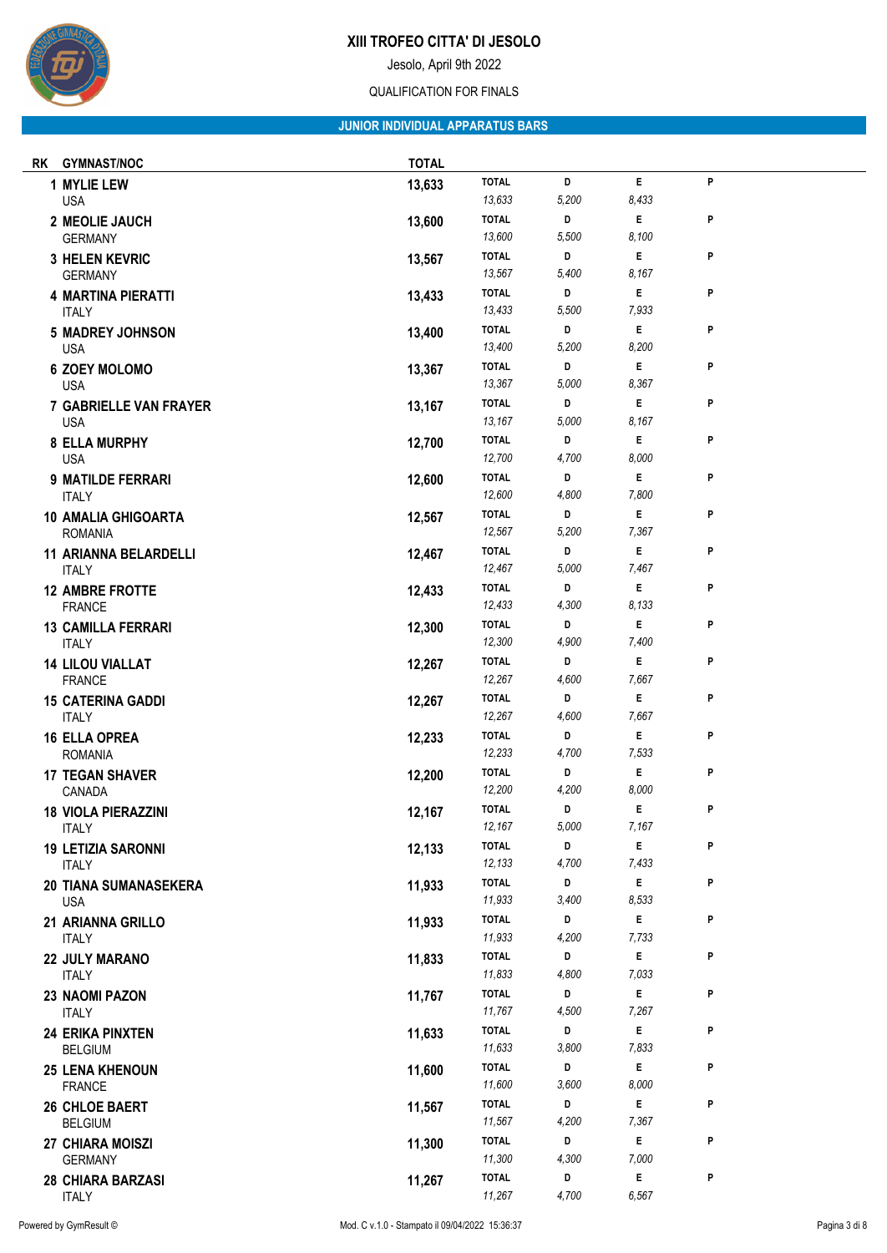Jesolo, April 9th 2022

### QUALIFICATION FOR FINALS

## **JUNIOR INDIVIDUAL APPARATUS BARS**

| rk | <b>GYMNAST/NOC</b>                          | <b>TOTAL</b> |                        |            |             |   |
|----|---------------------------------------------|--------------|------------------------|------------|-------------|---|
|    | 1 MYLIE LEW<br><b>USA</b>                   | 13,633       | <b>TOTAL</b><br>13,633 | D<br>5,200 | E.<br>8,433 | P |
|    | 2 MEOLIE JAUCH<br><b>GERMANY</b>            | 13,600       | <b>TOTAL</b><br>13,600 | D<br>5,500 | E<br>8,100  | P |
|    | <b>3 HELEN KEVRIC</b>                       | 13,567       | <b>TOTAL</b>           | D          | E.          | P |
|    | <b>GERMANY</b><br><b>4 MARTINA PIERATTI</b> | 13,433       | 13,567<br><b>TOTAL</b> | 5,400<br>D | 8,167<br>Е  | P |
|    | <b>ITALY</b>                                |              | 13,433                 | 5,500      | 7,933       |   |
|    | <b>5 MADREY JOHNSON</b><br><b>USA</b>       | 13,400       | <b>TOTAL</b><br>13,400 | D<br>5,200 | E<br>8,200  | P |
|    | <b>6 ZOEY MOLOMO</b>                        | 13,367       | <b>TOTAL</b>           | D          | E           | P |
|    | <b>USA</b>                                  |              | 13,367                 | 5,000      | 8,367       |   |
|    | <b>7 GABRIELLE VAN FRAYER</b><br><b>USA</b> | 13,167       | <b>TOTAL</b><br>13,167 | D<br>5,000 | Е<br>8,167  | P |
|    | <b>8 ELLA MURPHY</b>                        | 12,700       | <b>TOTAL</b>           | D          | E           | P |
|    | <b>USA</b>                                  |              | 12,700                 | 4,700      | 8,000       |   |
|    | <b>9 MATILDE FERRARI</b>                    | 12,600       | <b>TOTAL</b>           | D          | E           | P |
|    | <b>ITALY</b>                                |              | 12,600                 | 4,800      | 7,800       |   |
|    | <b>10 AMALIA GHIGOARTA</b>                  | 12,567       | <b>TOTAL</b>           | D          | E.          | P |
|    | <b>ROMANIA</b>                              |              | 12,567                 | 5,200      | 7,367       |   |
|    | <b>11 ARIANNA BELARDELLI</b>                | 12,467       | <b>TOTAL</b>           | D          | E.<br>7,467 | P |
|    | <b>ITALY</b>                                |              | 12,467                 | 5,000      |             |   |
|    | <b>12 AMBRE FROTTE</b>                      | 12,433       | <b>TOTAL</b><br>12,433 | D          | Е           | P |
|    | <b>FRANCE</b>                               |              |                        | 4,300      | 8,133       |   |
|    | <b>13 CAMILLA FERRARI</b><br><b>ITALY</b>   | 12,300       | <b>TOTAL</b><br>12,300 | D<br>4,900 | E<br>7,400  | P |
|    | <b>14 LILOU VIALLAT</b><br><b>FRANCE</b>    | 12,267       | <b>TOTAL</b><br>12,267 | D<br>4,600 | Е<br>7,667  | P |
|    | <b>15 CATERINA GADDI</b>                    | 12,267       | <b>TOTAL</b>           | D          | E           | P |
|    | <b>ITALY</b>                                |              | 12,267                 | 4,600      | 7,667       |   |
|    | <b>16 ELLA OPREA</b><br><b>ROMANIA</b>      | 12,233       | <b>TOTAL</b><br>12,233 | D<br>4,700 | E<br>7,533  | P |
|    | <b>17 TEGAN SHAVER</b><br>CANADA            | 12,200       | <b>TOTAL</b><br>12,200 | D<br>4,200 | Е<br>8,000  | P |
|    | <b>18 VIOLA PIERAZZINI</b>                  | 12,167       | <b>TOTAL</b>           | D          | E           | P |
|    | <b>ITALY</b>                                |              | 12,167                 | 5,000      | 7,167       |   |
|    | <b>19 LETIZIA SARONNI</b>                   | 12,133       | <b>TOTAL</b>           | D          | E           | P |
|    | <b>ITALY</b>                                |              | 12,133                 | 4,700      | 7,433       |   |
|    | 20 TIANA SUMANASEKERA                       | 11,933       | <b>TOTAL</b>           | D          | E           | P |
|    | <b>USA</b>                                  |              | 11,933                 | 3,400      | 8,533       |   |
|    | 21 ARIANNA GRILLO                           | 11,933       | <b>TOTAL</b>           | D          | Е           | P |
|    | <b>ITALY</b>                                |              | 11,933                 | 4,200      | 7,733       |   |
|    | 22 JULY MARANO                              | 11,833       | <b>TOTAL</b>           | D          | E           | P |
|    | <b>ITALY</b>                                |              | 11,833                 | 4,800      | 7,033       |   |
|    | 23 NAOMI PAZON<br><b>ITALY</b>              | 11,767       | <b>TOTAL</b><br>11,767 | D<br>4,500 | Е<br>7,267  | P |
|    | <b>24 ERIKA PINXTEN</b>                     | 11,633       | <b>TOTAL</b><br>11,633 | D          | E           | P |
|    | <b>BELGIUM</b>                              |              |                        | 3,800      | 7,833       |   |
|    | <b>25 LENA KHENOUN</b><br><b>FRANCE</b>     | 11,600       | <b>TOTAL</b><br>11,600 | D<br>3,600 | E<br>8,000  | P |
|    | 26 CHLOE BAERT                              | 11,567       | <b>TOTAL</b>           | D          | E           | P |
|    | <b>BELGIUM</b>                              |              | 11,567                 | 4,200      | 7,367       |   |
|    | 27 CHIARA MOISZI                            | 11,300       | <b>TOTAL</b>           | D          | Е           | P |
|    | <b>GERMANY</b>                              |              | 11,300                 | 4,300      | 7,000       |   |
|    | <b>28 CHIARA BARZASI</b>                    | 11,267       | <b>TOTAL</b>           | D          | E           | P |
|    | <b>ITALY</b>                                |              | 11,267                 | 4,700      | 6,567       |   |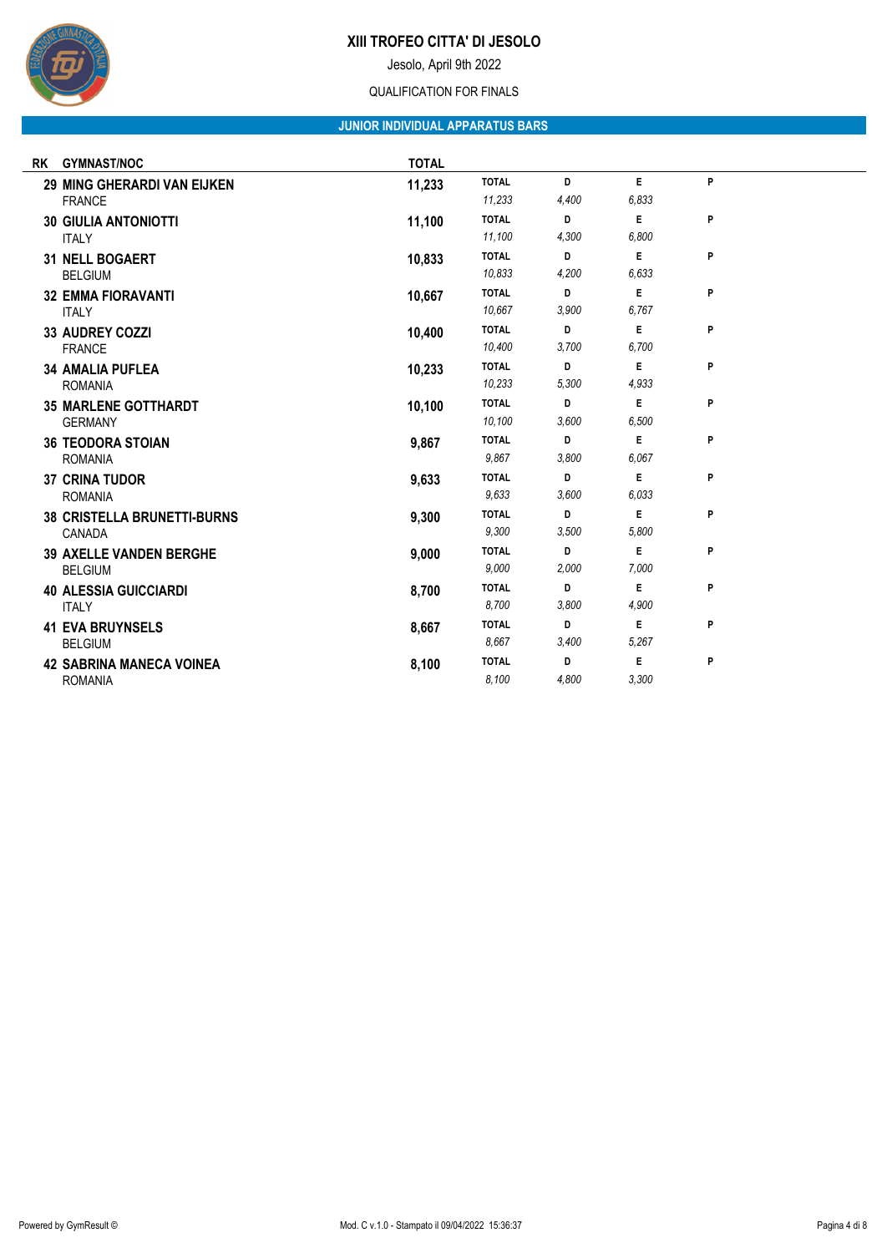Jesolo, April 9th 2022

### QUALIFICATION FOR FINALS

## **JUNIOR INDIVIDUAL APPARATUS BARS**

| RK | <b>GYMNAST/NOC</b>                 | <b>TOTAL</b> |              |       |       |   |
|----|------------------------------------|--------------|--------------|-------|-------|---|
|    | <b>29 MING GHERARDI VAN EIJKEN</b> | 11,233       | <b>TOTAL</b> | D     | E.    | P |
|    | <b>FRANCE</b>                      |              | 11,233       | 4,400 | 6,833 |   |
|    | <b>30 GIULIA ANTONIOTTI</b>        | 11,100       | <b>TOTAL</b> | D     | E     | P |
|    | <b>ITALY</b>                       |              | 11,100       | 4,300 | 6,800 |   |
|    | <b>31 NELL BOGAERT</b>             | 10,833       | <b>TOTAL</b> | D     | E     | P |
|    | <b>BELGIUM</b>                     |              | 10,833       | 4,200 | 6,633 |   |
|    | <b>32 EMMA FIORAVANTI</b>          | 10,667       | <b>TOTAL</b> | D     | E     | P |
|    | <b>ITALY</b>                       |              | 10.667       | 3.900 | 6,767 |   |
|    | 33 AUDREY COZZI                    | 10,400       | <b>TOTAL</b> | D     | E     | P |
|    | <b>FRANCE</b>                      |              | 10,400       | 3,700 | 6,700 |   |
|    | <b>34 AMALIA PUFLEA</b>            | 10,233       | <b>TOTAL</b> | D     | E     | P |
|    | <b>ROMANIA</b>                     |              | 10,233       | 5,300 | 4,933 |   |
|    | <b>35 MARLENE GOTTHARDT</b>        | 10,100       | <b>TOTAL</b> | D     | E     | P |
|    | <b>GERMANY</b>                     |              | 10,100       | 3.600 | 6,500 |   |
|    | <b>36 TEODORA STOIAN</b>           | 9,867        | <b>TOTAL</b> | D     | E     | P |
|    | <b>ROMANIA</b>                     |              | 9,867        | 3,800 | 6,067 |   |
|    | <b>37 CRINA TUDOR</b>              | 9,633        | <b>TOTAL</b> | D     | E     | P |
|    | <b>ROMANIA</b>                     |              | 9,633        | 3.600 | 6,033 |   |
|    | <b>38 CRISTELLA BRUNETTI-BURNS</b> | 9,300        | <b>TOTAL</b> | D     | E     | P |
|    | CANADA                             |              | 9,300        | 3.500 | 5,800 |   |
|    | <b>39 AXELLE VANDEN BERGHE</b>     | 9,000        | <b>TOTAL</b> | D     | E     | P |
|    | <b>BELGIUM</b>                     |              | 9.000        | 2,000 | 7,000 |   |
|    | <b>40 ALESSIA GUICCIARDI</b>       | 8,700        | <b>TOTAL</b> | D     | E     | P |
|    | <b>ITALY</b>                       |              | 8,700        | 3.800 | 4,900 |   |
|    | <b>41 EVA BRUYNSELS</b>            | 8,667        | <b>TOTAL</b> | D     | E     | P |
|    | <b>BELGIUM</b>                     |              | 8.667        | 3,400 | 5.267 |   |
|    | <b>42 SABRINA MANECA VOINEA</b>    | 8,100        | <b>TOTAL</b> | D     | E     | P |
|    | <b>ROMANIA</b>                     |              | 8,100        | 4,800 | 3,300 |   |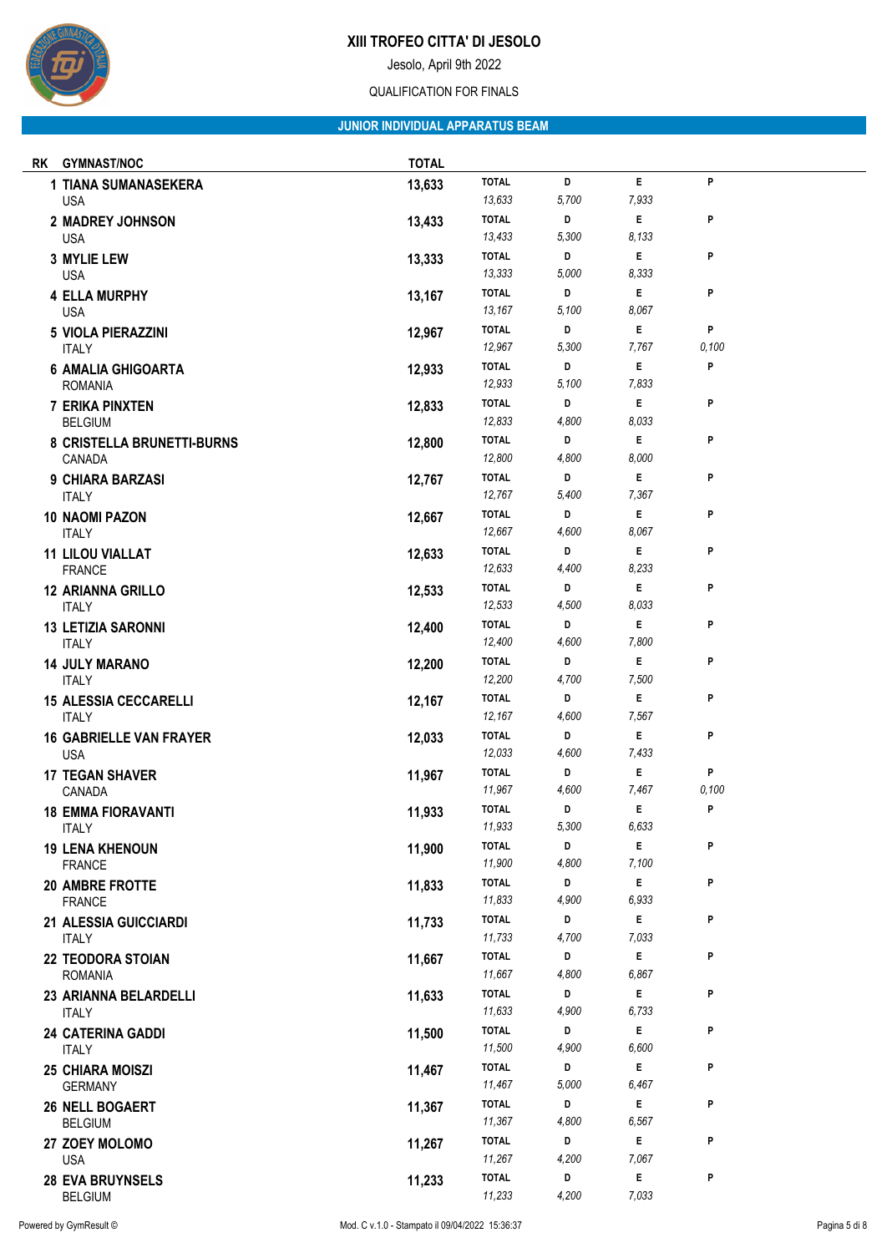

Jesolo, April 9th 2022

### QUALIFICATION FOR FINALS

## **JUNIOR INDIVIDUAL APPARATUS BEAM**

| RK | <b>GYMNAST/NOC</b>                        | <b>TOTAL</b> |                        |            |            |       |
|----|-------------------------------------------|--------------|------------------------|------------|------------|-------|
|    | 1 TIANA SUMANASEKERA                      | 13,633       | <b>TOTAL</b>           | D          | E          | P     |
|    | <b>USA</b>                                |              | 13,633                 | 5,700      | 7,933      |       |
|    | 2 MADREY JOHNSON                          | 13,433       | <b>TOTAL</b>           | D          | E          | P     |
|    | <b>USA</b>                                |              | 13,433                 | 5,300      | 8,133      |       |
|    | <b>3 MYLIE LEW</b>                        | 13,333       | <b>TOTAL</b><br>13,333 | D<br>5,000 | Е<br>8,333 | P     |
|    | <b>USA</b>                                |              | <b>TOTAL</b>           | D          | E          | P     |
|    | <b>4 ELLA MURPHY</b><br><b>USA</b>        | 13,167       | 13,167                 | 5,100      | 8,067      |       |
|    | <b>5 VIOLA PIERAZZINI</b>                 | 12,967       | <b>TOTAL</b>           | D          | E          | P     |
|    | <b>ITALY</b>                              |              | 12,967                 | 5,300      | 7,767      | 0,100 |
|    | <b>6 AMALIA GHIGOARTA</b>                 | 12,933       | <b>TOTAL</b>           | D          | E          | P     |
|    | <b>ROMANIA</b>                            |              | 12,933                 | 5,100      | 7,833      |       |
|    | <b>7 ERIKA PINXTEN</b>                    | 12,833       | <b>TOTAL</b>           | D          | Е          | P     |
|    | <b>BELGIUM</b>                            |              | 12,833                 | 4,800      | 8,033      |       |
|    | 8 CRISTELLA BRUNETTI-BURNS<br>CANADA      | 12,800       | <b>TOTAL</b><br>12,800 | D<br>4,800 | E<br>8,000 | P     |
|    | 9 CHIARA BARZASI                          | 12,767       | <b>TOTAL</b>           | D          | E          | P     |
|    | <b>ITALY</b>                              |              | 12,767                 | 5,400      | 7,367      |       |
|    | 10 NAOMI PAZON                            | 12,667       | <b>TOTAL</b>           | D          | E          | P     |
|    | <b>ITALY</b>                              |              | 12,667                 | 4,600      | 8,067      |       |
|    | <b>11 LILOU VIALLAT</b>                   | 12,633       | <b>TOTAL</b>           | D          | E          | P     |
|    | <b>FRANCE</b>                             |              | 12,633                 | 4,400      | 8,233      |       |
|    | <b>12 ARIANNA GRILLO</b>                  | 12,533       | <b>TOTAL</b>           | D          | E          | P     |
|    | <b>ITALY</b>                              |              | 12,533<br><b>TOTAL</b> | 4,500<br>D | 8,033<br>E | P     |
|    | <b>13 LETIZIA SARONNI</b><br><b>ITALY</b> | 12,400       | 12,400                 | 4,600      | 7,800      |       |
|    | <b>14 JULY MARANO</b>                     | 12,200       | <b>TOTAL</b>           | D          | E          | P     |
|    | <b>ITALY</b>                              |              | 12,200                 | 4,700      | 7,500      |       |
|    | <b>15 ALESSIA CECCARELLI</b>              | 12,167       | <b>TOTAL</b>           | D          | E          | P     |
|    | <b>ITALY</b>                              |              | 12,167                 | 4,600      | 7,567      |       |
|    | <b>16 GABRIELLE VAN FRAYER</b>            | 12,033       | <b>TOTAL</b><br>12,033 | D<br>4,600 | E<br>7,433 | P     |
|    | <b>USA</b>                                |              | <b>TOTAL</b>           | D          | E          | P     |
|    | <b>17 TEGAN SHAVER</b><br>CANADA          | 11,967       | 11,967                 | 4,600      | 7,467      | 0,100 |
|    | <b>18 EMMA FIORAVANTI</b>                 | 11,933       | <b>TOTAL</b>           | D          | E          | P     |
|    | <b>ITALY</b>                              |              | 11,933                 | 5,300      | 6,633      |       |
|    | <b>19 LENA KHENOUN</b>                    | 11,900       | <b>TOTAL</b>           | D          | E          | P     |
|    | <b>FRANCE</b>                             |              | 11,900                 | 4,800      | 7,100      |       |
|    | 20 AMBRE FROTTE                           | 11,833       | <b>TOTAL</b><br>11,833 | D<br>4,900 | E<br>6,933 | P     |
|    | <b>FRANCE</b><br>21 ALESSIA GUICCIARDI    | 11,733       | <b>TOTAL</b>           | D          | E          | P     |
|    | <b>ITALY</b>                              |              | 11,733                 | 4,700      | 7,033      |       |
|    | 22 TEODORA STOIAN                         | 11,667       | <b>TOTAL</b>           | D          | E          | P     |
|    | <b>ROMANIA</b>                            |              | 11,667                 | 4,800      | 6,867      |       |
|    | 23 ARIANNA BELARDELLI                     | 11,633       | <b>TOTAL</b>           | D          | E          | P     |
|    | <b>ITALY</b>                              |              | 11,633                 | 4,900      | 6,733      |       |
|    | <b>24 CATERINA GADDI</b>                  | 11,500       | <b>TOTAL</b><br>11,500 | D<br>4,900 | E<br>6,600 | P     |
|    | <b>ITALY</b>                              |              | <b>TOTAL</b>           | D          | E          | P     |
|    | <b>25 CHIARA MOISZI</b><br><b>GERMANY</b> | 11,467       | 11,467                 | 5,000      | 6,467      |       |
|    | 26 NELL BOGAERT                           | 11,367       | <b>TOTAL</b>           | D          | E          | P     |
|    | <b>BELGIUM</b>                            |              | 11,367                 | 4,800      | 6,567      |       |
|    | 27 ZOEY MOLOMO                            | 11,267       | <b>TOTAL</b>           | D          | Е          | P     |
|    | <b>USA</b>                                |              | 11,267                 | 4,200      | 7,067      |       |
|    | 28 EVA BRUYNSELS<br><b>BELGIUM</b>        | 11,233       | <b>TOTAL</b><br>11,233 | D<br>4,200 | E<br>7,033 | P     |
|    |                                           |              |                        |            |            |       |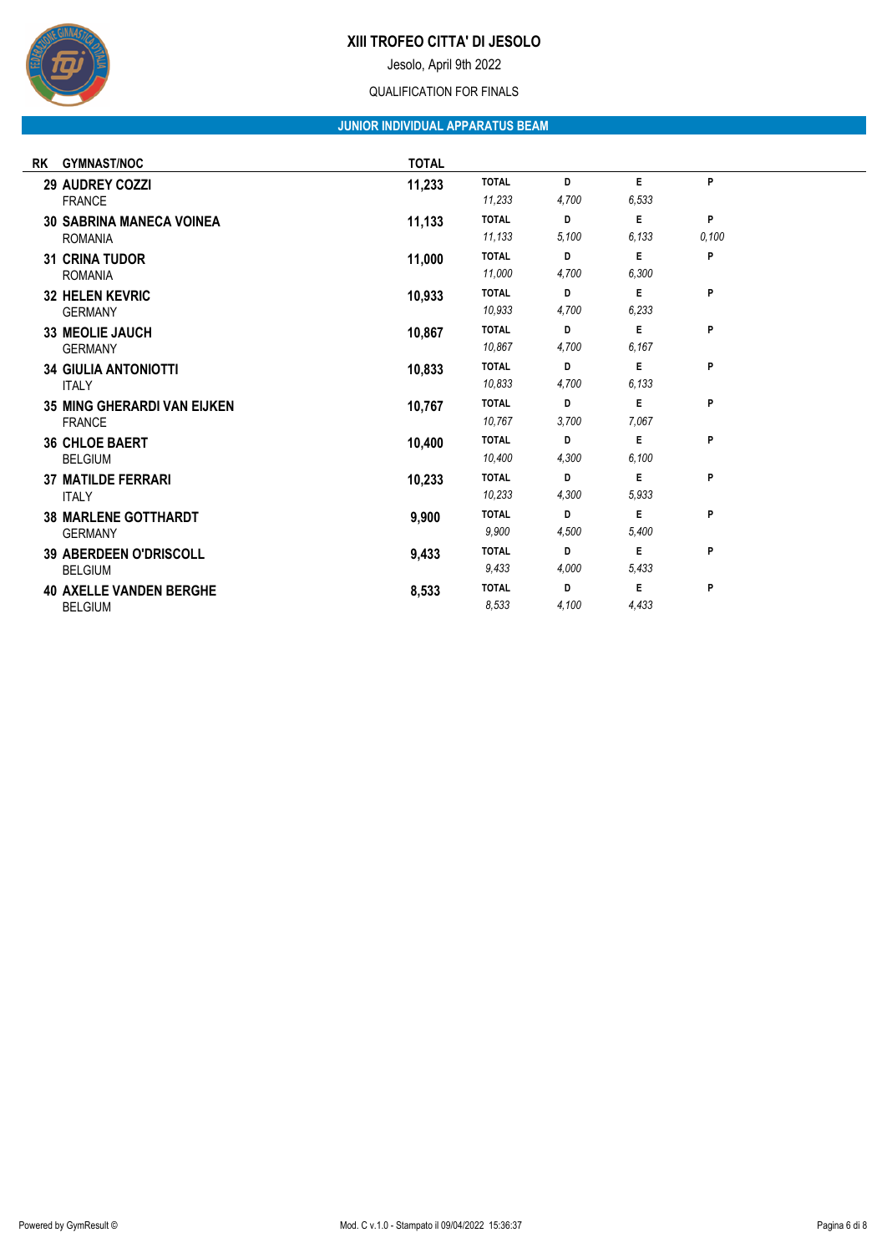

Jesolo, April 9th 2022

### QUALIFICATION FOR FINALS

## **JUNIOR INDIVIDUAL APPARATUS BEAM**

| <b>RK</b> | <b>GYMNAST/NOC</b>                                  | <b>TOTAL</b> |                        |            |            |            |  |
|-----------|-----------------------------------------------------|--------------|------------------------|------------|------------|------------|--|
|           | <b>29 AUDREY COZZI</b><br><b>FRANCE</b>             | 11,233       | <b>TOTAL</b><br>11,233 | D<br>4,700 | E<br>6.533 | P          |  |
|           | <b>30 SABRINA MANECA VOINEA</b><br><b>ROMANIA</b>   | 11,133       | <b>TOTAL</b><br>11,133 | D<br>5.100 | E<br>6.133 | P<br>0,100 |  |
|           | <b>31 CRINA TUDOR</b><br><b>ROMANIA</b>             | 11,000       | <b>TOTAL</b><br>11,000 | D<br>4,700 | E<br>6,300 | P          |  |
|           | <b>32 HELEN KEVRIC</b><br><b>GERMANY</b>            | 10,933       | <b>TOTAL</b><br>10.933 | D<br>4,700 | E<br>6,233 | P          |  |
|           | <b>33 MEOLIE JAUCH</b><br><b>GERMANY</b>            | 10,867       | <b>TOTAL</b><br>10.867 | D<br>4,700 | E<br>6.167 | P          |  |
|           | <b>34 GIULIA ANTONIOTTI</b><br><b>ITALY</b>         | 10,833       | <b>TOTAL</b><br>10,833 | D<br>4,700 | E<br>6.133 | P          |  |
|           | <b>35 MING GHERARDI VAN EIJKEN</b><br><b>FRANCE</b> | 10,767       | <b>TOTAL</b><br>10.767 | D<br>3,700 | E<br>7.067 | P          |  |
|           | <b>36 CHLOE BAERT</b><br><b>BELGIUM</b>             | 10,400       | <b>TOTAL</b><br>10.400 | D<br>4,300 | E<br>6.100 | P          |  |
|           | <b>37 MATILDE FERRARI</b><br><b>ITALY</b>           | 10,233       | <b>TOTAL</b><br>10.233 | D<br>4,300 | E<br>5.933 | P          |  |
|           | <b>38 MARLENE GOTTHARDT</b><br><b>GERMANY</b>       | 9,900        | <b>TOTAL</b><br>9.900  | D<br>4,500 | E<br>5,400 | P          |  |
|           | <b>39 ABERDEEN O'DRISCOLL</b><br><b>BELGIUM</b>     | 9,433        | <b>TOTAL</b><br>9.433  | D<br>4,000 | E<br>5.433 | P          |  |
|           | <b>40 AXELLE VANDEN BERGHE</b><br><b>BELGIUM</b>    | 8,533        | <b>TOTAL</b><br>8,533  | D<br>4,100 | E<br>4,433 | P          |  |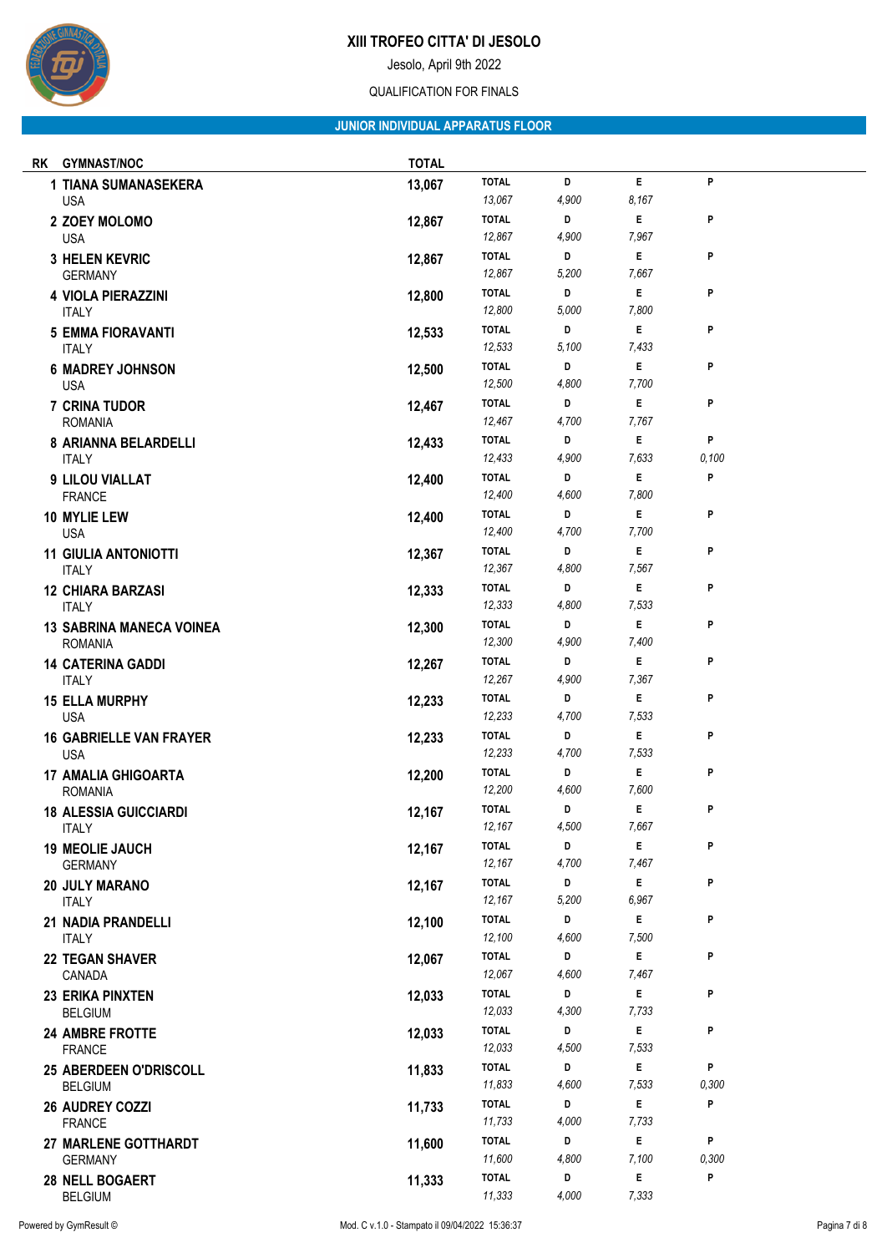

Jesolo, April 9th 2022

### QUALIFICATION FOR FINALS

# **JUNIOR INDIVIDUAL APPARATUS FLOOR**

| RK | <b>GYMNAST/NOC</b>                                | <b>TOTAL</b> |                                        |                 |                 |            |
|----|---------------------------------------------------|--------------|----------------------------------------|-----------------|-----------------|------------|
|    | 1 TIANA SUMANASEKERA<br><b>USA</b>                | 13,067       | <b>TOTAL</b><br>13,067                 | D<br>4,900      | E<br>8,167      | P          |
|    | 2 ZOEY MOLOMO<br><b>USA</b>                       | 12,867       | <b>TOTAL</b><br>12,867                 | D<br>4,900      | E<br>7,967      | P          |
|    | <b>3 HELEN KEVRIC</b><br><b>GERMANY</b>           | 12,867       | <b>TOTAL</b><br>12,867                 | D<br>5,200      | E<br>7.667      | P          |
|    | <b>4 VIOLA PIERAZZINI</b><br><b>ITALY</b>         | 12,800       | <b>TOTAL</b><br>12,800                 | D<br>5,000      | E<br>7,800      | P          |
|    | <b>5 EMMA FIORAVANTI</b><br><b>ITALY</b>          | 12,533       | <b>TOTAL</b><br>12,533                 | D<br>5,100      | Е<br>7,433      | P          |
|    | <b>6 MADREY JOHNSON</b><br><b>USA</b>             | 12,500       | <b>TOTAL</b><br>12,500                 | D<br>4,800      | E<br>7,700      | P          |
|    | 7 CRINA TUDOR<br><b>ROMANIA</b>                   | 12,467       | <b>TOTAL</b><br>12,467                 | D<br>4,700      | E<br>7,767      | P          |
|    | 8 ARIANNA BELARDELLI<br><b>ITALY</b>              | 12,433       | <b>TOTAL</b><br>12,433                 | D<br>4,900      | E<br>7,633      | P<br>0,100 |
|    | 9 LILOU VIALLAT<br><b>FRANCE</b>                  | 12,400       | <b>TOTAL</b><br>12,400                 | D<br>4,600      | E<br>7,800      | P          |
|    | 10 MYLIE LEW<br><b>USA</b>                        | 12,400       | <b>TOTAL</b><br>12,400                 | D<br>4,700      | E<br>7,700      | P          |
|    | <b>11 GIULIA ANTONIOTTI</b><br><b>ITALY</b>       | 12,367       | <b>TOTAL</b><br>12,367                 | D<br>4,800      | E<br>7.567      | P          |
|    | <b>12 CHIARA BARZASI</b><br><b>ITALY</b>          | 12,333       | <b>TOTAL</b><br>12,333                 | D<br>4,800      | E<br>7,533      | P          |
|    | <b>13 SABRINA MANECA VOINEA</b><br><b>ROMANIA</b> | 12,300       | <b>TOTAL</b><br>12,300                 | D<br>4,900      | E<br>7,400      | P          |
|    | <b>14 CATERINA GADDI</b><br><b>ITALY</b>          | 12,267       | <b>TOTAL</b><br>12,267                 | D<br>4,900      | E<br>7,367      | P          |
|    | <b>15 ELLA MURPHY</b><br><b>USA</b>               | 12,233       | <b>TOTAL</b><br>12,233                 | D<br>4,700      | E<br>7,533      | P          |
|    | <b>16 GABRIELLE VAN FRAYER</b><br><b>USA</b>      | 12,233       | <b>TOTAL</b><br>12,233                 | D<br>4,700      | E<br>7,533      | P          |
|    | <b>17 AMALIA GHIGOARTA</b><br><b>ROMANIA</b>      | 12,200       | <b>TOTAL</b><br>12,200                 | D<br>4,600      | E<br>7,600      | P          |
|    | <b>18 ALESSIA GUICCIARDI</b><br><b>ITALY</b>      | 12,167       | <b>TOTAL</b><br>12,167                 | D<br>4,500      | E<br>7,667      | P          |
|    | <b>19 MEOLIE JAUCH</b><br><b>GERMANY</b>          | 12,167       | <b>TOTAL</b><br>12,167                 | D<br>4,700      | E<br>7,467      | P          |
|    | 20 JULY MARANO<br><b>ITALY</b>                    | 12,167       | <b>TOTAL</b><br>12,167                 | D<br>5,200      | E<br>6,967      | P          |
|    | 21 NADIA PRANDELLI<br><b>ITALY</b>                | 12,100       | <b>TOTAL</b><br>12,100                 | D<br>4,600      | E<br>7,500      | P          |
|    | <b>22 TEGAN SHAVER</b><br>CANADA                  | 12,067       | <b>TOTAL</b><br>12,067                 | D<br>4,600<br>D | E<br>7,467<br>E | P<br>P     |
|    | <b>23 ERIKA PINXTEN</b><br><b>BELGIUM</b>         | 12,033       | <b>TOTAL</b><br>12,033<br><b>TOTAL</b> | 4,300<br>D      | 7,733<br>E      | P          |
|    | <b>24 AMBRE FROTTE</b><br><b>FRANCE</b>           | 12,033       | 12,033<br><b>TOTAL</b>                 | 4,500<br>D      | 7,533<br>E      | P          |
|    | 25 ABERDEEN O'DRISCOLL<br><b>BELGIUM</b>          | 11,833       | 11,833<br><b>TOTAL</b>                 | 4,600<br>D      | 7,533<br>E      | 0,300<br>P |
|    | <b>26 AUDREY COZZI</b><br><b>FRANCE</b>           | 11,733       | 11,733<br><b>TOTAL</b>                 | 4,000<br>D      | 7,733<br>E      | P          |
|    | 27 MARLENE GOTTHARDT<br><b>GERMANY</b>            | 11,600       | 11,600<br><b>TOTAL</b>                 | 4,800<br>D      | 7,100<br>E      | 0,300<br>P |
|    | 28 NELL BOGAERT<br><b>BELGIUM</b>                 | 11,333       | 11,333                                 | 4,000           | 7,333           |            |